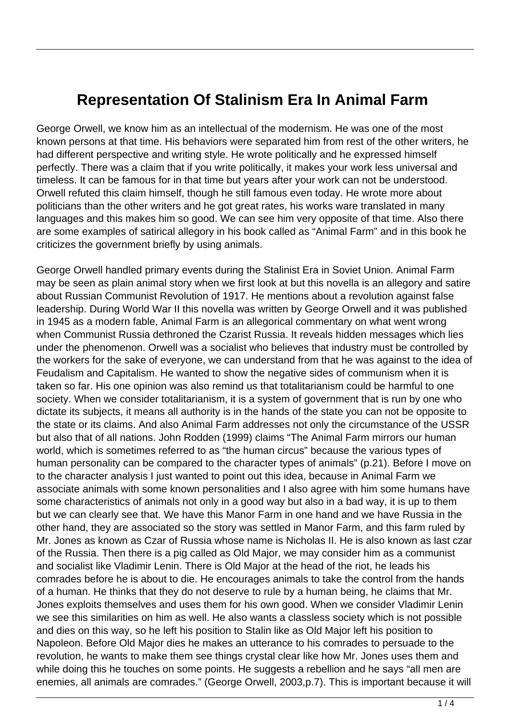## **Representation Of Stalinism Era In Animal Farm**

George Orwell, we know him as an intellectual of the modernism. He was one of the most known persons at that time. His behaviors were separated him from rest of the other writers, he had different perspective and writing style. He wrote politically and he expressed himself perfectly. There was a claim that if you write politically, it makes your work less universal and timeless. It can be famous for in that time but years after your work can not be understood. Orwell refuted this claim himself, though he still famous even today. He wrote more about politicians than the other writers and he got great rates, his works ware translated in many languages and this makes him so good. We can see him very opposite of that time. Also there are some examples of satirical allegory in his book called as "Animal Farm" and in this book he criticizes the government briefly by using animals.

George Orwell handled primary events during the Stalinist Era in Soviet Union. Animal Farm may be seen as plain animal story when we first look at but this novella is an allegory and satire about Russian Communist Revolution of 1917. He mentions about a revolution against false leadership. During World War II this novella was written by George Orwell and it was published in 1945 as a modern fable, Animal Farm is an allegorical commentary on what went wrong when Communist Russia dethroned the Czarist Russia. It reveals hidden messages which lies under the phenomenon. Orwell was a socialist who believes that industry must be controlled by the workers for the sake of everyone, we can understand from that he was against to the idea of Feudalism and Capitalism. He wanted to show the negative sides of communism when it is taken so far. His one opinion was also remind us that totalitarianism could be harmful to one society. When we consider totalitarianism, it is a system of government that is run by one who dictate its subjects, it means all authority is in the hands of the state you can not be opposite to the state or its claims. And also Animal Farm addresses not only the circumstance of the USSR but also that of all nations. John Rodden (1999) claims "The Animal Farm mirrors our human world, which is sometimes referred to as "the human circus" because the various types of human personality can be compared to the character types of animals" (p.21). Before I move on to the character analysis I just wanted to point out this idea, because in Animal Farm we associate animals with some known personalities and I also agree with him some humans have some characteristics of animals not only in a good way but also in a bad way, it is up to them but we can clearly see that. We have this Manor Farm in one hand and we have Russia in the other hand, they are associated so the story was settled in Manor Farm, and this farm ruled by Mr. Jones as known as Czar of Russia whose name is Nicholas II. He is also known as last czar of the Russia. Then there is a pig called as Old Major, we may consider him as a communist and socialist like Vladimir Lenin. There is Old Major at the head of the riot, he leads his comrades before he is about to die. He encourages animals to take the control from the hands of a human. He thinks that they do not deserve to rule by a human being, he claims that Mr. Jones exploits themselves and uses them for his own good. When we consider Vladimir Lenin we see this similarities on him as well. He also wants a classless society which is not possible and dies on this way, so he left his position to Stalin like as Old Major left his position to Napoleon. Before Old Major dies he makes an utterance to his comrades to persuade to the revolution, he wants to make them see things crystal clear like how Mr. Jones uses them and while doing this he touches on some points. He suggests a rebellion and he says "all men are enemies, all animals are comrades." (George Orwell, 2003,p.7). This is important because it will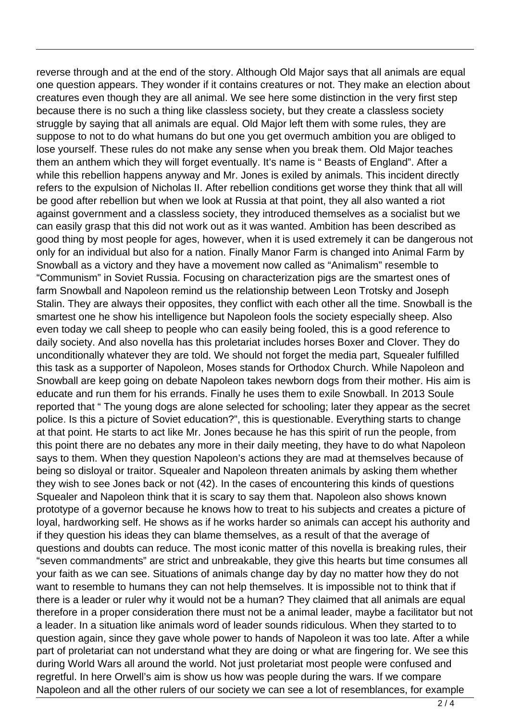reverse through and at the end of the story. Although Old Major says that all animals are equal one question appears. They wonder if it contains creatures or not. They make an election about creatures even though they are all animal. We see here some distinction in the very first step because there is no such a thing like classless society, but they create a classless society struggle by saying that all animals are equal. Old Major left them with some rules, they are suppose to not to do what humans do but one you get overmuch ambition you are obliged to lose yourself. These rules do not make any sense when you break them. Old Major teaches them an anthem which they will forget eventually. It's name is " Beasts of England". After a while this rebellion happens anyway and Mr. Jones is exiled by animals. This incident directly refers to the expulsion of Nicholas II. After rebellion conditions get worse they think that all will be good after rebellion but when we look at Russia at that point, they all also wanted a riot against government and a classless society, they introduced themselves as a socialist but we can easily grasp that this did not work out as it was wanted. Ambition has been described as good thing by most people for ages, however, when it is used extremely it can be dangerous not only for an individual but also for a nation. Finally Manor Farm is changed into Animal Farm by Snowball as a victory and they have a movement now called as "Animalism" resemble to "Communism" in Soviet Russia. Focusing on characterization pigs are the smartest ones of farm Snowball and Napoleon remind us the relationship between Leon Trotsky and Joseph Stalin. They are always their opposites, they conflict with each other all the time. Snowball is the smartest one he show his intelligence but Napoleon fools the society especially sheep. Also even today we call sheep to people who can easily being fooled, this is a good reference to daily society. And also novella has this proletariat includes horses Boxer and Clover. They do unconditionally whatever they are told. We should not forget the media part, Squealer fulfilled this task as a supporter of Napoleon, Moses stands for Orthodox Church. While Napoleon and Snowball are keep going on debate Napoleon takes newborn dogs from their mother. His aim is educate and run them for his errands. Finally he uses them to exile Snowball. In 2013 Soule reported that " The young dogs are alone selected for schooling; later they appear as the secret police. Is this a picture of Soviet education?", this is questionable. Everything starts to change at that point. He starts to act like Mr. Jones because he has this spirit of run the people, from this point there are no debates any more in their daily meeting, they have to do what Napoleon says to them. When they question Napoleon's actions they are mad at themselves because of being so disloyal or traitor. Squealer and Napoleon threaten animals by asking them whether they wish to see Jones back or not (42). In the cases of encountering this kinds of questions Squealer and Napoleon think that it is scary to say them that. Napoleon also shows known prototype of a governor because he knows how to treat to his subjects and creates a picture of loyal, hardworking self. He shows as if he works harder so animals can accept his authority and if they question his ideas they can blame themselves, as a result of that the average of questions and doubts can reduce. The most iconic matter of this novella is breaking rules, their "seven commandments" are strict and unbreakable, they give this hearts but time consumes all your faith as we can see. Situations of animals change day by day no matter how they do not want to resemble to humans they can not help themselves. It is impossible not to think that if there is a leader or ruler why it would not be a human? They claimed that all animals are equal therefore in a proper consideration there must not be a animal leader, maybe a facilitator but not a leader. In a situation like animals word of leader sounds ridiculous. When they started to to question again, since they gave whole power to hands of Napoleon it was too late. After a while part of proletariat can not understand what they are doing or what are fingering for. We see this during World Wars all around the world. Not just proletariat most people were confused and regretful. In here Orwell's aim is show us how was people during the wars. If we compare Napoleon and all the other rulers of our society we can see a lot of resemblances, for example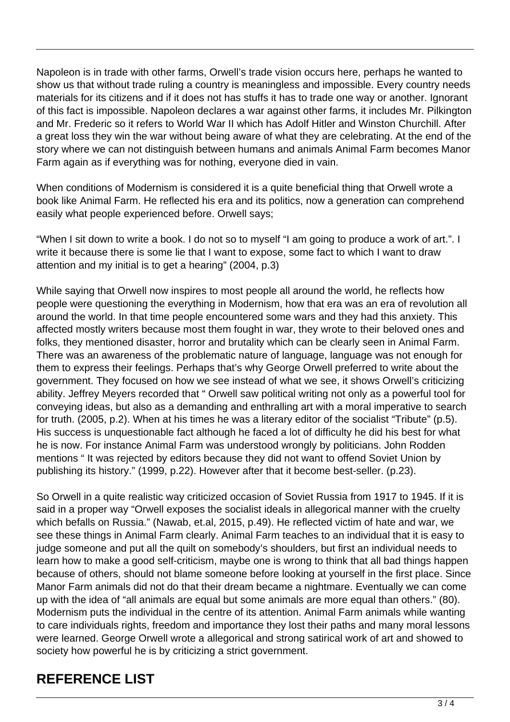Napoleon is in trade with other farms, Orwell's trade vision occurs here, perhaps he wanted to show us that without trade ruling a country is meaningless and impossible. Every country needs materials for its citizens and if it does not has stuffs it has to trade one way or another. Ignorant of this fact is impossible. Napoleon declares a war against other farms, it includes Mr. Pilkington and Mr. Frederic so it refers to World War II which has Adolf Hitler and Winston Churchill. After a great loss they win the war without being aware of what they are celebrating. At the end of the story where we can not distinguish between humans and animals Animal Farm becomes Manor Farm again as if everything was for nothing, everyone died in vain.

When conditions of Modernism is considered it is a quite beneficial thing that Orwell wrote a book like Animal Farm. He reflected his era and its politics, now a generation can comprehend easily what people experienced before. Orwell says;

"When I sit down to write a book. I do not so to myself "I am going to produce a work of art.". I write it because there is some lie that I want to expose, some fact to which I want to draw attention and my initial is to get a hearing" (2004, p.3)

While saying that Orwell now inspires to most people all around the world, he reflects how people were questioning the everything in Modernism, how that era was an era of revolution all around the world. In that time people encountered some wars and they had this anxiety. This affected mostly writers because most them fought in war, they wrote to their beloved ones and folks, they mentioned disaster, horror and brutality which can be clearly seen in Animal Farm. There was an awareness of the problematic nature of language, language was not enough for them to express their feelings. Perhaps that's why George Orwell preferred to write about the government. They focused on how we see instead of what we see, it shows Orwell's criticizing ability. Jeffrey Meyers recorded that " Orwell saw political writing not only as a powerful tool for conveying ideas, but also as a demanding and enthralling art with a moral imperative to search for truth. (2005, p.2). When at his times he was a literary editor of the socialist "Tribute" (p.5). His success is unquestionable fact although he faced a lot of difficulty he did his best for what he is now. For instance Animal Farm was understood wrongly by politicians. John Rodden mentions " It was rejected by editors because they did not want to offend Soviet Union by publishing its history." (1999, p.22). However after that it become best-seller. (p.23).

So Orwell in a quite realistic way criticized occasion of Soviet Russia from 1917 to 1945. If it is said in a proper way "Orwell exposes the socialist ideals in allegorical manner with the cruelty which befalls on Russia." (Nawab, et.al, 2015, p.49). He reflected victim of hate and war, we see these things in Animal Farm clearly. Animal Farm teaches to an individual that it is easy to judge someone and put all the quilt on somebody's shoulders, but first an individual needs to learn how to make a good self-criticism, maybe one is wrong to think that all bad things happen because of others, should not blame someone before looking at yourself in the first place. Since Manor Farm animals did not do that their dream became a nightmare. Eventually we can come up with the idea of "all animals are equal but some animals are more equal than others." (80). Modernism puts the individual in the centre of its attention. Animal Farm animals while wanting to care individuals rights, freedom and importance they lost their paths and many moral lessons were learned. George Orwell wrote a allegorical and strong satirical work of art and showed to society how powerful he is by criticizing a strict government.

## **REFERENCE LIST**